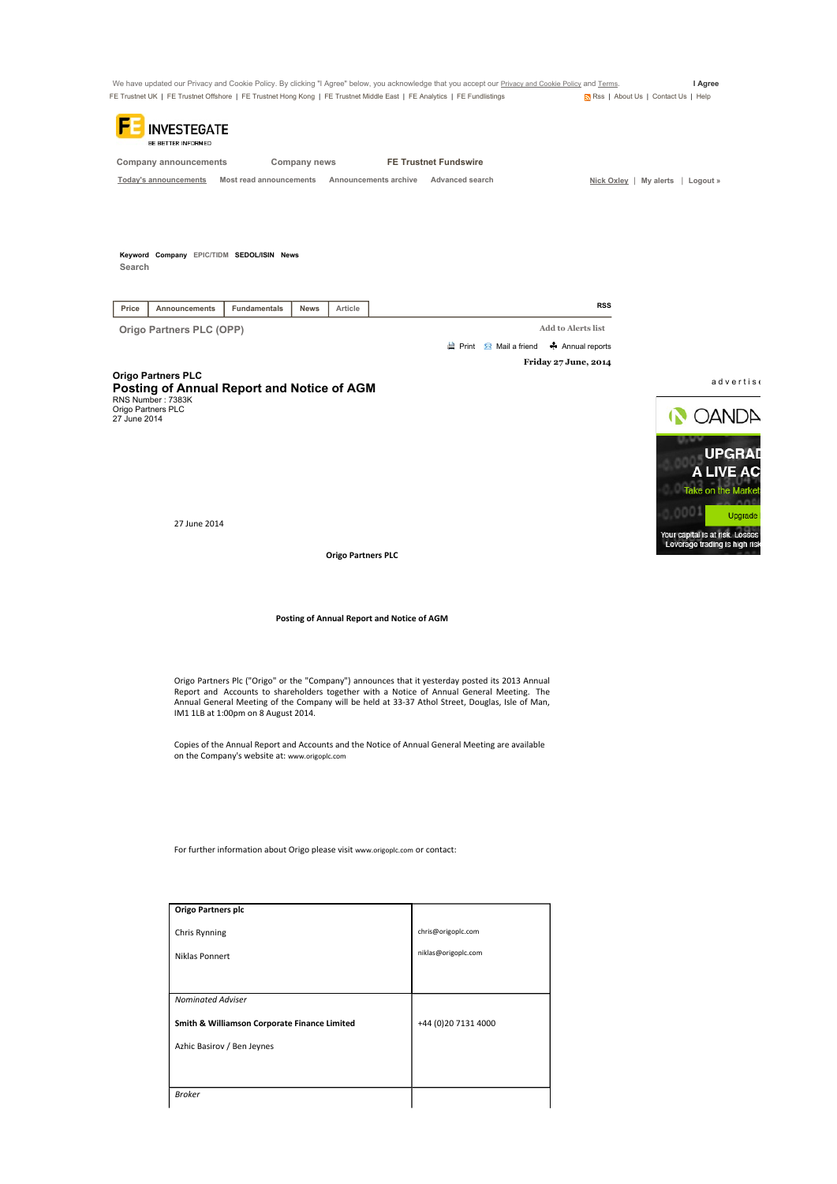

Broker